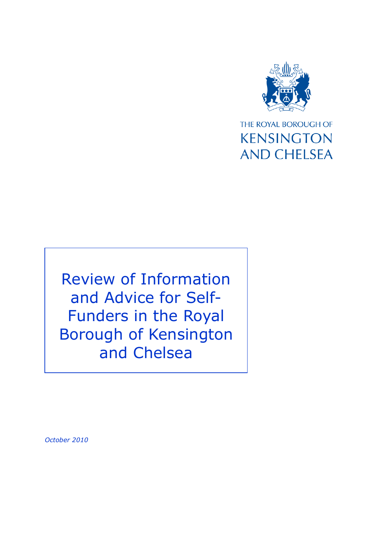

THE ROYAL BOROUGH OF **KENSINGTON AND CHELSEA** 

Review of Information and Advice for Self-Funders in the Royal Borough of Kensington and Chelsea

*October 2010*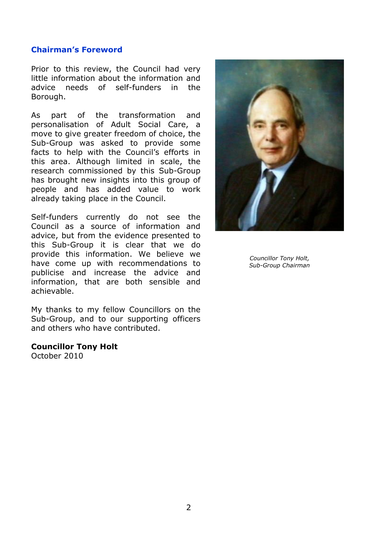### **Chairman's Foreword**

Prior to this review, the Council had very little information about the information and advice needs of self-funders in the Borough.

As part of the transformation and personalisation of Adult Social Care, a move to give greater freedom of choice, the Sub-Group was asked to provide some facts to help with the Council's efforts in this area. Although limited in scale, the research commissioned by this Sub-Group has brought new insights into this group of people and has added value to work already taking place in the Council.

Self-funders currently do not see the Council as a source of information and advice, but from the evidence presented to this Sub-Group it is clear that we do provide this information. We believe we have come up with recommendations to publicise and increase the advice and information, that are both sensible and achievable.

My thanks to my fellow Councillors on the Sub-Group, and to our supporting officers and others who have contributed.

#### **Councillor Tony Holt**

October 2010



*Councillor Tony Holt, Sub-Group Chairman*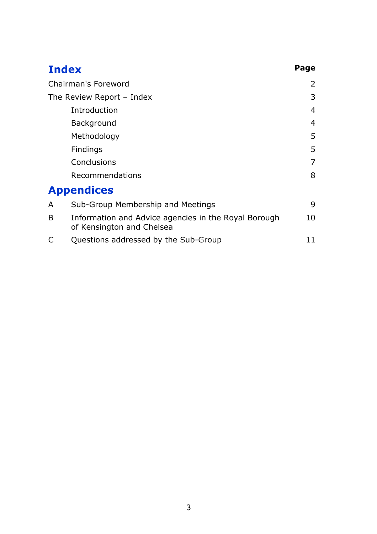| <b>Index</b>              |                                                                                   | Page           |
|---------------------------|-----------------------------------------------------------------------------------|----------------|
| Chairman's Foreword       |                                                                                   | $\overline{2}$ |
| The Review Report - Index |                                                                                   | 3              |
|                           | Introduction                                                                      | 4              |
|                           | Background                                                                        | 4              |
|                           | Methodology                                                                       | 5              |
|                           | Findings                                                                          | 5              |
|                           | Conclusions                                                                       | $\overline{7}$ |
|                           | Recommendations                                                                   | 8              |
|                           | <b>Appendices</b>                                                                 |                |
| A                         | Sub-Group Membership and Meetings                                                 | 9              |
| B                         | Information and Advice agencies in the Royal Borough<br>of Kensington and Chelsea | 10             |
|                           | Questions addressed by the Sub-Group                                              | 11             |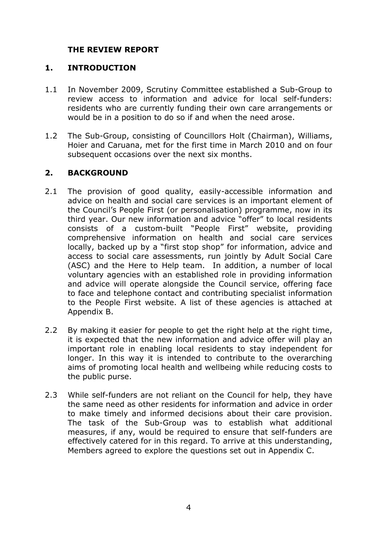# **THE REVIEW REPORT**

### **1. INTRODUCTION**

- 1.1 In November 2009, Scrutiny Committee established a Sub-Group to review access to information and advice for local self-funders: residents who are currently funding their own care arrangements or would be in a position to do so if and when the need arose.
- 1.2 The Sub-Group, consisting of Councillors Holt (Chairman), Williams, Hoier and Caruana, met for the first time in March 2010 and on four subsequent occasions over the next six months.

## **2. BACKGROUND**

- 2.1 The provision of good quality, easily-accessible information and advice on health and social care services is an important element of the Council's People First (or personalisation) programme, now in its third year. Our new information and advice "offer" to local residents consists of a custom-built "People First" website, providing comprehensive information on health and social care services locally, backed up by a "first stop shop" for information, advice and access to social care assessments, run jointly by Adult Social Care (ASC) and the Here to Help team. In addition, a number of local voluntary agencies with an established role in providing information and advice will operate alongside the Council service, offering face to face and telephone contact and contributing specialist information to the People First website. A list of these agencies is attached at Appendix B.
- 2.2 By making it easier for people to get the right help at the right time, it is expected that the new information and advice offer will play an important role in enabling local residents to stay independent for longer. In this way it is intended to contribute to the overarching aims of promoting local health and wellbeing while reducing costs to the public purse.
- 2.3 While self-funders are not reliant on the Council for help, they have the same need as other residents for information and advice in order to make timely and informed decisions about their care provision. The task of the Sub-Group was to establish what additional measures, if any, would be required to ensure that self-funders are effectively catered for in this regard. To arrive at this understanding, Members agreed to explore the questions set out in Appendix C.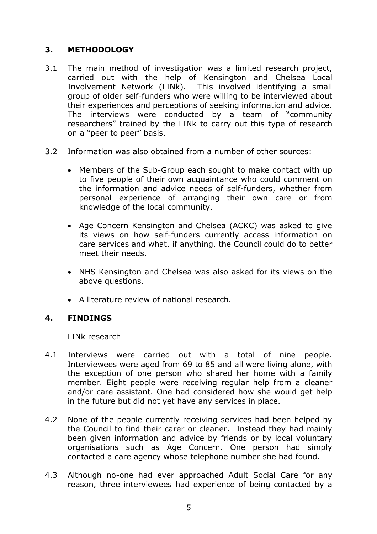# **3. METHODOLOGY**

- 3.1 The main method of investigation was a limited research project, carried out with the help of Kensington and Chelsea Local Involvement Network (LINk). This involved identifying a small group of older self-funders who were willing to be interviewed about their experiences and perceptions of seeking information and advice. The interviews were conducted by a team of "community researchers" trained by the LINk to carry out this type of research on a "peer to peer" basis.
- 3.2 Information was also obtained from a number of other sources:
	- Members of the Sub-Group each sought to make contact with up to five people of their own acquaintance who could comment on the information and advice needs of self-funders, whether from personal experience of arranging their own care or from knowledge of the local community.
	- Age Concern Kensington and Chelsea (ACKC) was asked to give its views on how self-funders currently access information on care services and what, if anything, the Council could do to better meet their needs.
	- NHS Kensington and Chelsea was also asked for its views on the above questions.
	- A literature review of national research.

# **4. FINDINGS**

LINk research

- 4.1 Interviews were carried out with a total of nine people. Interviewees were aged from 69 to 85 and all were living alone, with the exception of one person who shared her home with a family member. Eight people were receiving regular help from a cleaner and/or care assistant. One had considered how she would get help in the future but did not yet have any services in place.
- 4.2 None of the people currently receiving services had been helped by the Council to find their carer or cleaner. Instead they had mainly been given information and advice by friends or by local voluntary organisations such as Age Concern. One person had simply contacted a care agency whose telephone number she had found.
- 4.3 Although no-one had ever approached Adult Social Care for any reason, three interviewees had experience of being contacted by a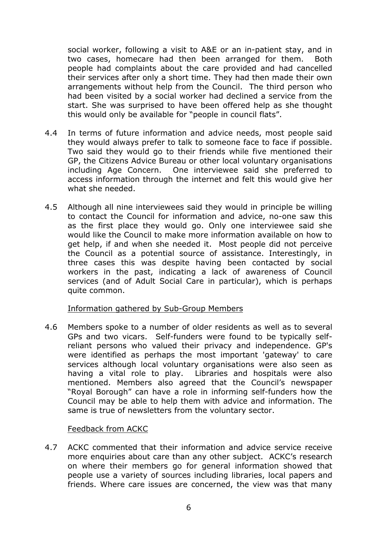social worker, following a visit to A&E or an in-patient stay, and in two cases, homecare had then been arranged for them. Both people had complaints about the care provided and had cancelled their services after only a short time. They had then made their own arrangements without help from the Council. The third person who had been visited by a social worker had declined a service from the start. She was surprised to have been offered help as she thought this would only be available for "people in council flats".

- 4.4 In terms of future information and advice needs, most people said they would always prefer to talk to someone face to face if possible. Two said they would go to their friends while five mentioned their GP, the Citizens Advice Bureau or other local voluntary organisations including Age Concern. One interviewee said she preferred to access information through the internet and felt this would give her what she needed.
- 4.5 Although all nine interviewees said they would in principle be willing to contact the Council for information and advice, no-one saw this as the first place they would go. Only one interviewee said she would like the Council to make more information available on how to get help, if and when she needed it. Most people did not perceive the Council as a potential source of assistance. Interestingly, in three cases this was despite having been contacted by social workers in the past, indicating a lack of awareness of Council services (and of Adult Social Care in particular), which is perhaps quite common.

### Information gathered by Sub-Group Members

4.6 Members spoke to a number of older residents as well as to several GPs and two vicars. Self-funders were found to be typically selfreliant persons who valued their privacy and independence. GP's were identified as perhaps the most important 'gateway' to care services although local voluntary organisations were also seen as having a vital role to play. Libraries and hospitals were also mentioned. Members also agreed that the Council's newspaper "Royal Borough" can have a role in informing self-funders how the Council may be able to help them with advice and information. The same is true of newsletters from the voluntary sector.

### Feedback from ACKC

4.7 ACKC commented that their information and advice service receive more enquiries about care than any other subject. ACKC's research on where their members go for general information showed that people use a variety of sources including libraries, local papers and friends. Where care issues are concerned, the view was that many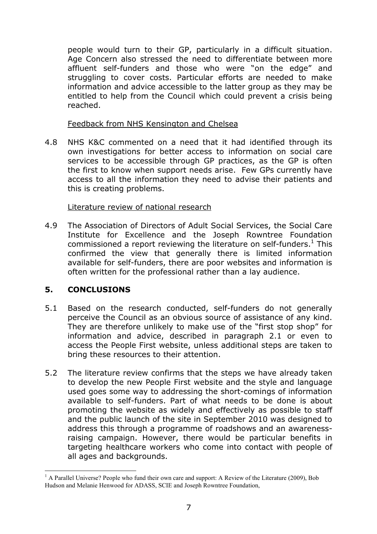people would turn to their GP, particularly in a difficult situation. Age Concern also stressed the need to differentiate between more affluent self-funders and those who were "on the edge" and struggling to cover costs. Particular efforts are needed to make information and advice accessible to the latter group as they may be entitled to help from the Council which could prevent a crisis being reached.

Feedback from NHS Kensington and Chelsea

4.8 NHS K&C commented on a need that it had identified through its own investigations for better access to information on social care services to be accessible through GP practices, as the GP is often the first to know when support needs arise. Few GPs currently have access to all the information they need to advise their patients and this is creating problems.

## Literature review of national research

4.9 The Association of Directors of Adult Social Services, the Social Care Institute for Excellence and the Joseph Rowntree Foundation commissioned a report reviewing the literature on self-funders. $<sup>1</sup>$  This</sup> confirmed the view that generally there is limited information available for self-funders, there are poor websites and information is often written for the professional rather than a lay audience.

# **5. CONCLUSIONS**

- 5.1 Based on the research conducted, self-funders do not generally perceive the Council as an obvious source of assistance of any kind. They are therefore unlikely to make use of the "first stop shop" for information and advice, described in paragraph 2.1 or even to access the People First website, unless additional steps are taken to bring these resources to their attention.
- 5.2 The literature review confirms that the steps we have already taken to develop the new People First website and the style and language used goes some way to addressing the short-comings of information available to self-funders. Part of what needs to be done is about promoting the website as widely and effectively as possible to staff and the public launch of the site in September 2010 was designed to address this through a programme of roadshows and an awarenessraising campaign. However, there would be particular benefits in targeting healthcare workers who come into contact with people of all ages and backgrounds.

 $\overline{a}$ <sup>1</sup> A Parallel Universe? People who fund their own care and support: A Review of the Literature (2009), Bob Hudson and Melanie Henwood for ADASS, SCIE and Joseph Rowntree Foundation,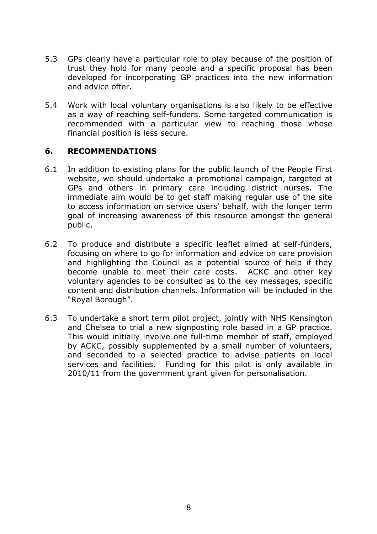- 5.3 GPs clearly have a particular role to play because of the position of trust they hold for many people and a specific proposal has been developed for incorporating GP practices into the new information and advice offer.
- 5.4 Work with local voluntary organisations is also likely to be effective as a way of reaching self-funders. Some targeted communication is recommended with a particular view to reaching those whose financial position is less secure.

## **6. RECOMMENDATIONS**

- 6.1 In addition to existing plans for the public launch of the People First website, we should undertake a promotional campaign, targeted at GPs and others in primary care including district nurses. The immediate aim would be to get staff making regular use of the site to access information on service users' behalf, with the longer term goal of increasing awareness of this resource amongst the general public.
- 6.2 To produce and distribute a specific leaflet aimed at self-funders, focusing on where to go for information and advice on care provision and highlighting the Council as a potential source of help if they become unable to meet their care costs. ACKC and other key voluntary agencies to be consulted as to the key messages, specific content and distribution channels. Information will be included in the "Royal Borough".
- 6.3 To undertake a short term pilot project, jointly with NHS Kensington and Chelsea to trial a new signposting role based in a GP practice. This would initially involve one full-time member of staff, employed by ACKC, possibly supplemented by a small number of volunteers, and seconded to a selected practice to advise patients on local services and facilities. Funding for this pilot is only available in 2010/11 from the government grant given for personalisation.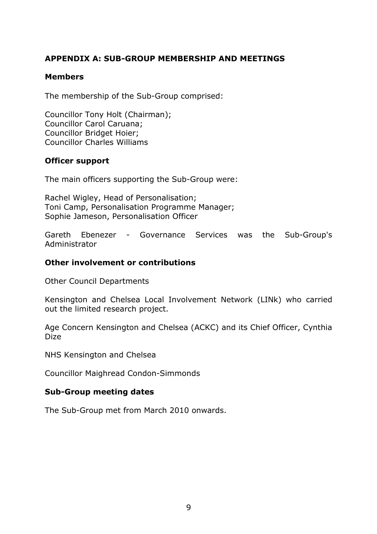# **APPENDIX A: SUB-GROUP MEMBERSHIP AND MEETINGS**

### **Members**

The membership of the Sub-Group comprised:

Councillor Tony Holt (Chairman); Councillor Carol Caruana; Councillor Bridget Hoier; Councillor Charles Williams

### **Officer support**

The main officers supporting the Sub-Group were:

Rachel Wigley, Head of Personalisation; Toni Camp, Personalisation Programme Manager; Sophie Jameson, Personalisation Officer

Gareth Ebenezer - Governance Services was the Sub-Group's Administrator

### **Other involvement or contributions**

Other Council Departments

Kensington and Chelsea Local Involvement Network (LINk) who carried out the limited research project.

Age Concern Kensington and Chelsea (ACKC) and its Chief Officer, Cynthia Dize

NHS Kensington and Chelsea

Councillor Maighread Condon-Simmonds

#### **Sub-Group meeting dates**

The Sub-Group met from March 2010 onwards.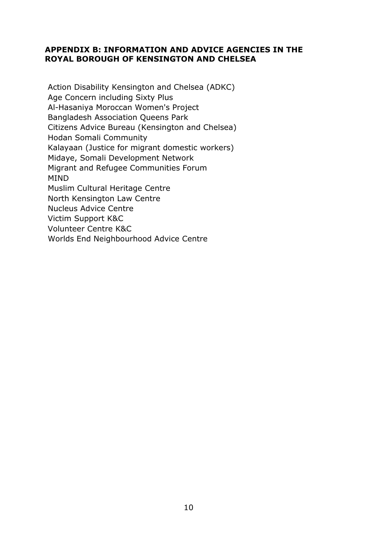### **APPENDIX B: INFORMATION AND ADVICE AGENCIES IN THE ROYAL BOROUGH OF KENSINGTON AND CHELSEA**

Action Disability Kensington and Chelsea (ADKC) Age Concern including Sixty Plus Al-Hasaniya Moroccan Women's Project Bangladesh Association Queens Park Citizens Advice Bureau (Kensington and Chelsea) Hodan Somali Community Kalayaan (Justice for migrant domestic workers) Midaye, Somali Development Network Migrant and Refugee Communities Forum MIND Muslim Cultural Heritage Centre North Kensington Law Centre Nucleus Advice Centre Victim Support K&C Volunteer Centre K&C Worlds End Neighbourhood Advice Centre